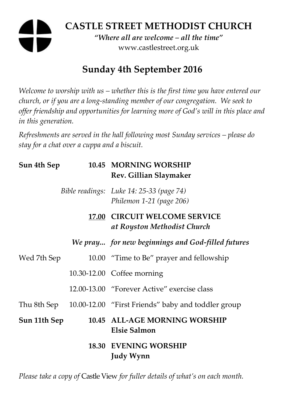# **CASTLE STREET METHODIST CHURCH**

*"Where all are welcome – all the time"*  www.castlestreet.org.uk

## **Sunday 4th September 2016**

*Welcome to worship with us – whether this is the first time you have entered our church, or if you are a long-standing member of our congregation. We seek to offer friendship and opportunities for learning more of God's will in this place and in this generation.* 

*Refreshments are served in the hall following most Sunday services – please do stay for a chat over a cuppa and a biscuit.* 

| Sun 4th Sep  |       | 10.45 MORNING WORSHIP<br>Rev. Gillian Slaymaker                      |
|--------------|-------|----------------------------------------------------------------------|
|              |       | Bible readings: Luke 14: 25-33 (page 74)<br>Philemon 1-21 (page 206) |
|              | 17.00 | <b>CIRCUIT WELCOME SERVICE</b><br>at Royston Methodist Church        |
|              |       | We pray for new beginnings and God-filled futures                    |
| Wed 7th Sep  |       | 10.00 "Time to Be" prayer and fellowship                             |
|              |       | 10.30-12.00 Coffee morning                                           |
|              |       | 12.00-13.00 "Forever Active" exercise class                          |
| Thu 8th Sep  |       | 10.00-12.00 "First Friends" baby and toddler group                   |
| Sun 11th Sep |       | 10.45 ALL-AGE MORNING WORSHIP<br><b>Elsie Salmon</b>                 |
|              |       | <b>18.30 EVENING WORSHIP</b><br><b>Judy Wynn</b>                     |

*Please take a copy of* Castle View *for fuller details of what's on each month.*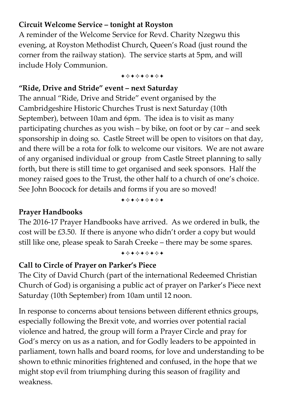#### **Circuit Welcome Service – tonight at Royston**

A reminder of the Welcome Service for Revd. Charity Nzegwu this evening, at Royston Methodist Church, Queen's Road (just round the corner from the railway station). The service starts at 5pm, and will include Holy Communion.

+\*\*\*\*\*\*\*

#### **"Ride, Drive and Stride" event – next Saturday**

The annual "Ride, Drive and Stride" event organised by the Cambridgeshire Historic Churches Trust is next Saturday (10th September), between 10am and 6pm. The idea is to visit as many participating churches as you wish – by bike, on foot or by car – and seek sponsorship in doing so. Castle Street will be open to visitors on that day, and there will be a rota for folk to welcome our visitors. We are not aware of any organised individual or group from Castle Street planning to sally forth, but there is still time to get organised and seek sponsors. Half the money raised goes to the Trust, the other half to a church of one's choice. See John Boocock for details and forms if you are so moved!

+\*+\*\*\*\*+

#### **Prayer Handbooks**

The 2016-17 Prayer Handbooks have arrived. As we ordered in bulk, the cost will be £3.50. If there is anyone who didn't order a copy but would still like one, please speak to Sarah Creeke – there may be some spares.

+\*\*\*\*\*\*\*

## **Call to Circle of Prayer on Parker's Piece**

The City of David Church (part of the international Redeemed Christian Church of God) is organising a public act of prayer on Parker's Piece next Saturday (10th September) from 10am until 12 noon.

In response to concerns about tensions between different ethnics groups, especially following the Brexit vote, and worries over potential racial violence and hatred, the group will form a Prayer Circle and pray for God's mercy on us as a nation, and for Godly leaders to be appointed in parliament, town halls and board rooms, for love and understanding to be shown to ethnic minorities frightened and confused, in the hope that we might stop evil from triumphing during this season of fragility and weakness.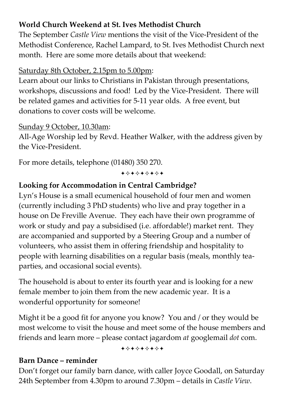### **World Church Weekend at St. Ives Methodist Church**

The September *Castle View* mentions the visit of the Vice-President of the Methodist Conference, Rachel Lampard, to St. Ives Methodist Church next month. Here are some more details about that weekend:

#### Saturday 8th October, 2.15pm to 5.00pm:

Learn about our links to Christians in Pakistan through presentations, workshops, discussions and food! Led by the Vice-President. There will be related games and activities for 5-11 year olds. A free event, but donations to cover costs will be welcome.

#### Sunday 9 October, 10.30am:

All-Age Worship led by Revd. Heather Walker, with the address given by the Vice-President.

For more details, telephone (01480) 350 270.

+\*\*\*\*\*\*\*

## **Looking for Accommodation in Central Cambridge?**

Lyn's House is a small ecumenical household of four men and women (currently including 3 PhD students) who live and pray together in a house on De Freville Avenue. They each have their own programme of work or study and pay a subsidised (i.e. affordable!) market rent. They are accompanied and supported by a Steering Group and a number of volunteers, who assist them in offering friendship and hospitality to people with learning disabilities on a regular basis (meals, monthly teaparties, and occasional social events).

The household is about to enter its fourth year and is looking for a new female member to join them from the new academic year. It is a wonderful opportunity for someone!

Might it be a good fit for anyone you know? You and / or they would be most welcome to visit the house and meet some of the house members and friends and learn more – please contact jagardom *at* googlemail *dot* com.

+\*+\*\*\*\*\*

#### **Barn Dance – reminder**

Don't forget our family barn dance, with caller Joyce Goodall, on Saturday 24th September from 4.30pm to around 7.30pm – details in *Castle View*.